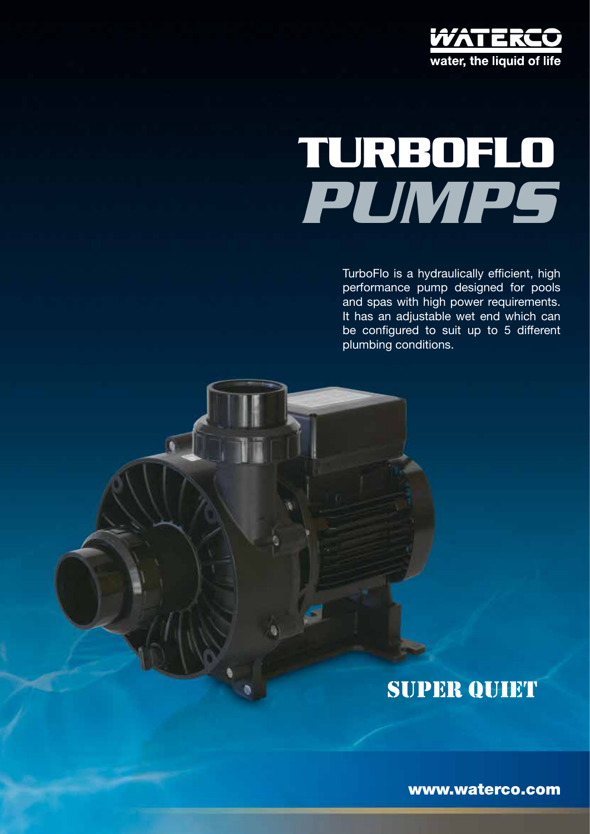

# *pumps* **Turboflo**

TurboFlo is a hydraulically efficient, high performance pump designed for pools and spas with high power requirements. It has an adjustable wet end which can be configured to suit up to 5 different plumbing conditions.

## SUPER QUIET

www.waterco.com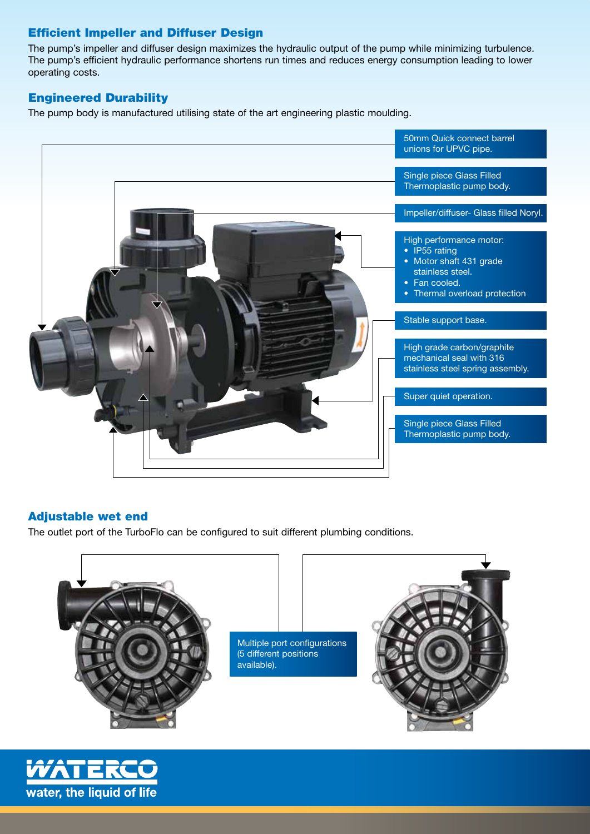#### Efficient Impeller and Diffuser Design

The pump's impeller and diffuser design maximizes the hydraulic output of the pump while minimizing turbulence. The pump's efficient hydraulic performance shortens run times and reduces energy consumption leading to lower operating costs.

#### Engineered Durability

The pump body is manufactured utilising state of the art engineering plastic moulding.



#### Adjustable wet end

The outlet port of the TurboFlo can be configured to suit different plumbing conditions.



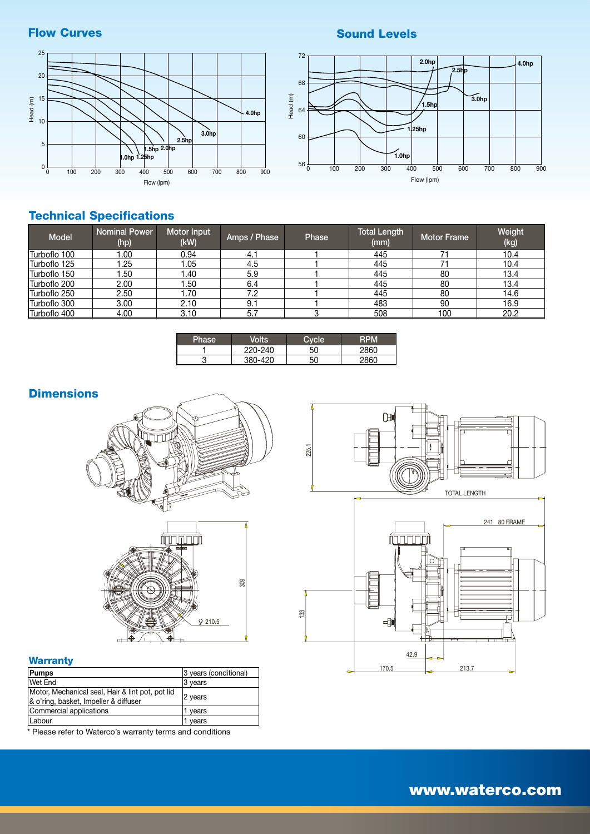#### Sound Levels

#### Flow Curves





### Technical Specifications

| <b>Model</b>         | <b>Nominal Power</b><br>(hp) | <b>Motor Input</b><br>(kW) | Amps / Phase | Phase | <b>Total Length</b><br>(mm) | <b>Motor Frame</b> | Weight<br>(kg) |
|----------------------|------------------------------|----------------------------|--------------|-------|-----------------------------|--------------------|----------------|
| Turboflo 100         | .00                          | 0.94                       | 4.1          |       | 445                         |                    | 10.4           |
| Turboflo 125         | .25                          | .05                        | 4.5          |       | 445                         |                    | 10.4           |
| Turboflo 150         | .50                          | .40                        | 5.9          |       | 445                         | 80                 | 13.4           |
| Turboflo 200         | 2.00                         | .50                        | 6.4          |       | 445                         | 80                 | 13.4           |
| Turboflo 250         | 2.50                         | .70                        | 7.2          |       | 445                         | 80                 | 14.6           |
| <b>ITurboflo 300</b> | 3.00                         | 2.10                       | 9.1          |       | 483                         | 90                 | 16.9           |
| Turboflo 400         | 4.00                         | 3.10                       | 5.7          |       | 508                         | 100                | 20.2           |

| Phase | <b>/olts</b> |     |             |
|-------|--------------|-----|-------------|
|       | 220-240      | -50 | 2860        |
|       | 380-420      | 50  | <b>DARC</b> |

#### **Dimensions**





#### **Warranty**

| Pumps                                            | 3 years (conditional) |  |  |
|--------------------------------------------------|-----------------------|--|--|
| Wet End                                          | 3 years               |  |  |
| Motor, Mechanical seal, Hair & lint pot, pot lid | 2 years               |  |  |
| & o'ring, basket, Impeller & diffuser            |                       |  |  |
| Commercial applications                          | 1 years               |  |  |
| Labour                                           | vears                 |  |  |

\* Please refer to Waterco's warranty terms and conditions